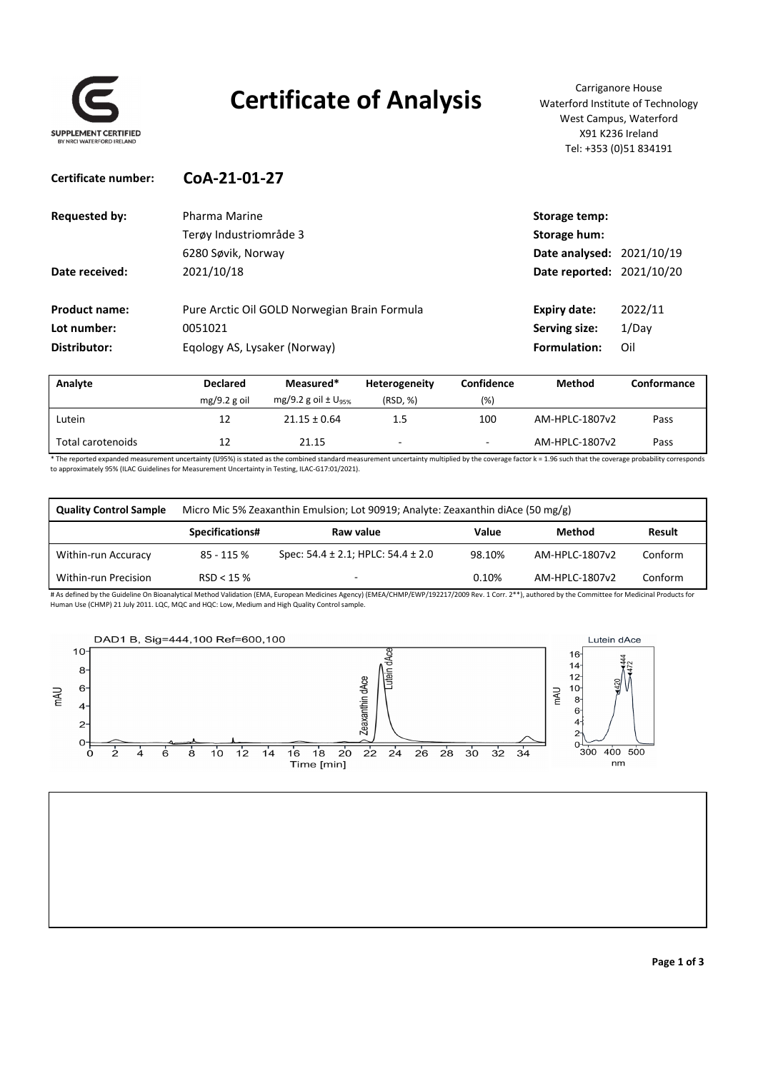

## **Certificate of Analysis** Carriganore House

Waterford Institute of Technology West Campus, Waterford X91 K236 Ireland Tel: +353 (0)51 834191

| Certificate number:  | CoA-21-01-27                                 |                           |         |
|----------------------|----------------------------------------------|---------------------------|---------|
| <b>Requested by:</b> | Pharma Marine                                | Storage temp:             |         |
|                      | Terøy Industriområde 3                       | Storage hum:              |         |
|                      | 6280 Søvik, Norway                           | Date analysed: 2021/10/19 |         |
| Date received:       | 2021/10/18                                   | Date reported: 2021/10/20 |         |
| <b>Product name:</b> | Pure Arctic Oil GOLD Norwegian Brain Formula | <b>Expiry date:</b>       | 2022/11 |
| Lot number:          | 0051021                                      | Serving size:             | 1/Day   |
| Distributor:         | Eqology AS, Lysaker (Norway)                 | Formulation:              | Oil     |
|                      |                                              |                           |         |

| Analyte           | <b>Declared</b> | Measured*                           | Heterogeneity            | <b>Confidence</b> | <b>Method</b>  | Conformance |
|-------------------|-----------------|-------------------------------------|--------------------------|-------------------|----------------|-------------|
|                   | $mg/9.2 g$ oil  | mg/9.2 g oil $\pm$ U <sub>95%</sub> | (RSD, %)                 | (%                |                |             |
| Lutein            | 12              | $21.15 \pm 0.64$                    | 1.5                      | 100               | AM-HPLC-1807v2 | Pass        |
| Total carotenoids |                 | 21.15                               | $\overline{\phantom{0}}$ | $\sim$            | AM-HPLC-1807v2 | Pass        |

\* The reported expanded measurement uncertainty (U95%) is stated as the combined standard measurement uncertainty multiplied by the coverage factor k = 1.96 such that the coverage probability corresponds to approximately 95% (ILAC Guidelines for Measurement Uncertainty in Testing, ILAC‐G17:01/2021).

| <b>Quality Control Sample</b> |                 | Micro Mic 5% Zeaxanthin Emulsion; Lot 90919; Analyte: Zeaxanthin diAce (50 mg/g) |        |                |         |
|-------------------------------|-----------------|----------------------------------------------------------------------------------|--------|----------------|---------|
|                               | Specifications# | Raw value                                                                        | Value  | Method         | Result  |
| Within-run Accuracy           | 85 - 115 %      | Spec: $54.4 \pm 2.1$ ; HPLC: $54.4 \pm 2.0$                                      | 98.10% | AM-HPLC-1807v2 | Conform |
| Within-run Precision          | RSD < 15%       |                                                                                  | 0.10%  | AM-HPLC-1807v2 | Conform |

# As defined by the Guideline On Bioanalytical Method Validation (EMA, European Medicines Agency) (EMEA/CHMP/EWP/192217/2009 Rev. 1 Corr. 2\*\*), authored by the Committee for Medicinal Products for Human Use (CHMP) 21 July 2011. LQC, MQC and HQC: Low, Medium and High Quality Control sample.

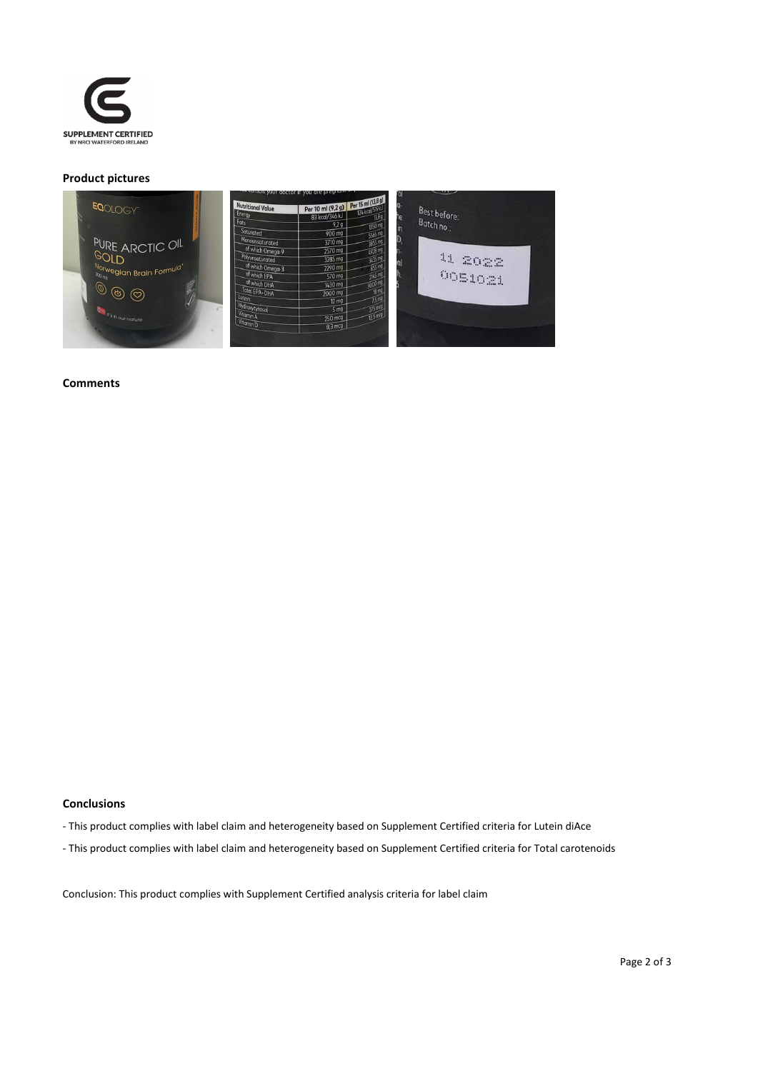

#### **Product pictures**



#### **Comments**

#### **Conclusions**

- ‐ This product complies with label claim and heterogeneity based on Supplement Certified criteria for Lutein diAce
- ‐ This product complies with label claim and heterogeneity based on Supplement Certified criteria for Total carotenoids

Conclusion: This product complies with Supplement Certified analysis criteria for label claim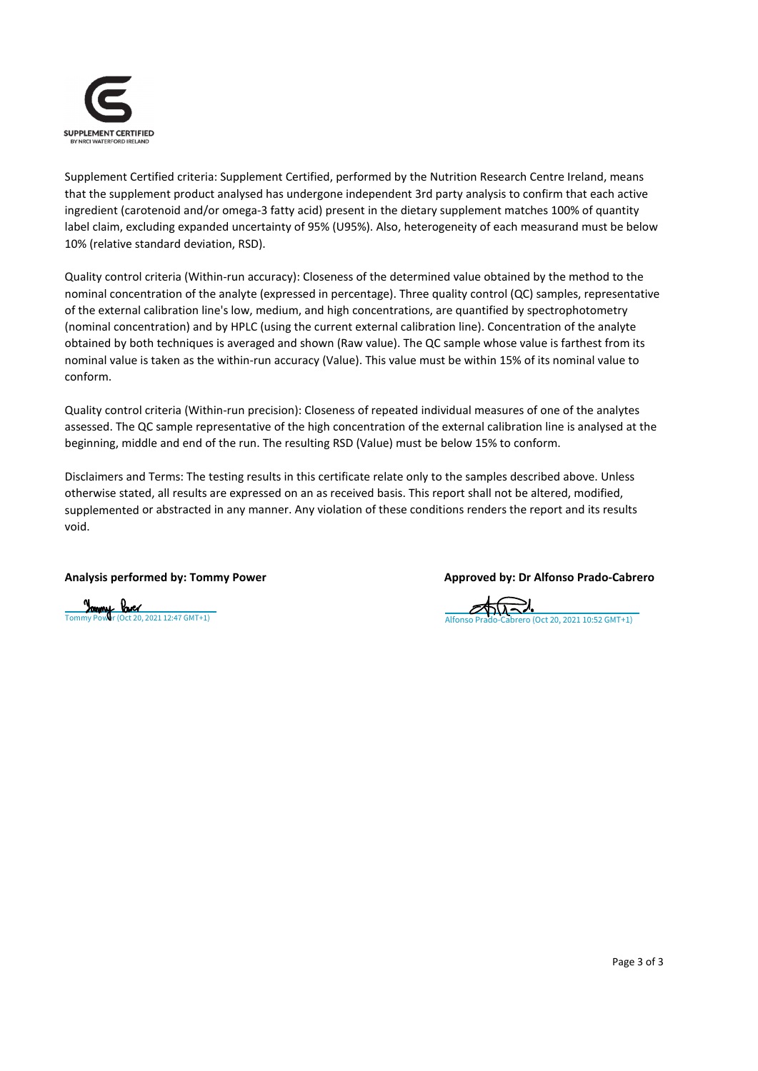

Supplement Certified criteria: Supplement Certified, performed by the Nutrition Research Centre Ireland, means that the supplement product analysed has undergone independent 3rd party analysis to confirm that each active ingredient (carotenoid and/or omega‐3 fatty acid) present in the dietary supplement matches 100% of quantity label claim, excluding expanded uncertainty of 95% (U95%). Also, heterogeneity of each measurand must be below 10% (relative standard deviation, RSD).

Quality control criteria (Within-run accuracy): Closeness of the determined value obtained by the method to the nominal concentration of the analyte (expressed in percentage). Three quality control (QC) samples, representative of the external calibration line's low, medium, and high concentrations, are quantified by spectrophotometry (nominal concentration) and by HPLC (using the current external calibration line). Concentration of the analyte obtained by both techniques is averaged and shown (Raw value). The QC sample whose value is farthest from its nominal value is taken as the within‐run accuracy (Value). This value must be within 15% of its nominal value to conform.

Quality control criteria (Within‐run precision): Closeness of repeated individual measures of one of the analytes assessed. The QC sample representative of the high concentration of the external calibration line is analysed at the beginning, middle and end of the run. The resulting RSD (Value) must be below 15% to conform.

Disclaimers and Terms: The testing results in this certificate relate only to the samples described above. Unless otherwise stated, all results are expressed on an as received basis. This report shall not be altered, modified, supplemented or abstracted in any manner. Any violation of these conditions renders the report and its results void.

#### **Analysis performed by: Tommy Power Approved by: Dr Alfonso Prado‐Cabrero**

## [Tommy Power \(Oct 20, 2021 12:47 GMT+1\)](https://eu2.documents.adobe.com/verifier?tx=CBJCHBCAABAAC4icRG_RA2ITuVpqZ5lSMIsJvSRoAnpa) [Alfonso Prado-Cabrero \(Oct 20, 2021 10:52 GMT+1\)](https://eu2.documents.adobe.com/verifier?tx=CBJCHBCAABAAC4icRG_RA2ITuVpqZ5lSMIsJvSRoAnpa)